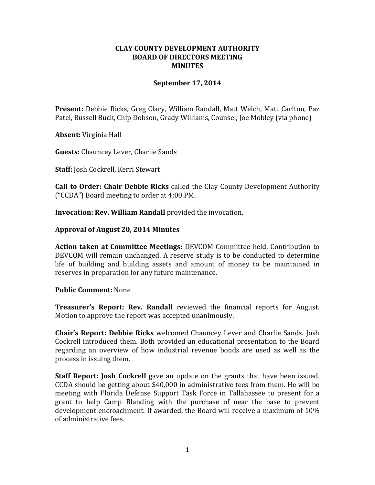## **CLAY COUNTY DEVELOPMENT AUTHORITY BOARD OF DIRECTORS MEETING MINUTES**

# **September 17, 2014**

**Present:** Debbie Ricks, Greg Clary, William Randall, Matt Welch, Matt Carlton, Paz Patel, Russell Buck, Chip Dobson, Grady Williams, Counsel, Joe Mobley (via phone)

**Absent:** Virginia Hall

**Guests:** Chauncey Lever, Charlie Sands

**Staff:** Josh Cockrell, Kerri Stewart

**Call to Order: Chair Debbie Ricks** called the Clay County Development Authority ("CCDA") Board meeting to order at 4:00 PM.

**Invocation: Rev. William Randall** provided the invocation.

## **Approval of August 20, 2014 Minutes**

**Action taken at Committee Meetings:** DEVCOM Committee held. Contribution to DEVCOM will remain unchanged. A reserve study is to be conducted to determine life of building and building assets and amount of money to be maintained in reserves in preparation for any future maintenance.

#### **Public Comment:** None

**Treasurer's Report: Rev. Randall** reviewed the financial reports for August. Motion to approve the report was accepted unanimously.

**Chair's Report: Debbie Ricks** welcomed Chauncey Lever and Charlie Sands. Josh Cockrell introduced them. Both provided an educational presentation to the Board regarding an overview of how industrial revenue bonds are used as well as the process in issuing them.

**Staff Report: Josh Cockrell** gave an update on the grants that have been issued. CCDA should be getting about \$40,000 in administrative fees from them. He will be meeting with Florida Defense Support Task Force in Tallahassee to present for a grant to help Camp Blanding with the purchase of near the base to prevent development encroachment. If awarded, the Board will receive a maximum of 10% of administrative fees.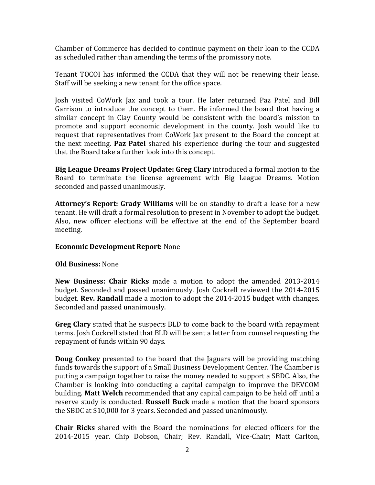Chamber of Commerce has decided to continue payment on their loan to the CCDA as scheduled rather than amending the terms of the promissory note.

Tenant TOCOI has informed the CCDA that they will not be renewing their lease. Staff will be seeking a new tenant for the office space.

Josh visited CoWork Jax and took a tour. He later returned Paz Patel and Bill Garrison to introduce the concept to them. He informed the board that having a similar concept in Clay County would be consistent with the board's mission to promote and support economic development in the county. Josh would like to request that representatives from CoWork Jax present to the Board the concept at the next meeting. **Paz Patel** shared his experience during the tour and suggested that the Board take a further look into this concept.

**Big League Dreams Project Update: Greg Clary** introduced a formal motion to the Board to terminate the license agreement with Big League Dreams. Motion seconded and passed unanimously.

**Attorney's Report: Grady Williams** will be on standby to draft a lease for a new tenant. He will draft a formal resolution to present in November to adopt the budget. Also, new officer elections will be effective at the end of the September board meeting.

#### **Economic Development Report:** None

#### **Old Business:** None

**New Business: Chair Ricks** made a motion to adopt the amended 2013-2014 budget. Seconded and passed unanimously. Josh Cockrell reviewed the 2014-2015 budget. **Rev. Randall** made a motion to adopt the 2014-2015 budget with changes. Seconded and passed unanimously.

**Greg Clary** stated that he suspects BLD to come back to the board with repayment terms. Josh Cockrell stated that BLD will be sent a letter from counsel requesting the repayment of funds within 90 days.

**Doug Conkey** presented to the board that the Jaguars will be providing matching funds towards the support of a Small Business Development Center. The Chamber is putting a campaign together to raise the money needed to support a SBDC. Also, the Chamber is looking into conducting a capital campaign to improve the DEVCOM building. **Matt Welch** recommended that any capital campaign to be held off until a reserve study is conducted. **Russell Buck** made a motion that the board sponsors the SBDC at \$10,000 for 3 years. Seconded and passed unanimously.

**Chair Ricks** shared with the Board the nominations for elected officers for the 2014-2015 year. Chip Dobson, Chair; Rev. Randall, Vice-Chair; Matt Carlton,